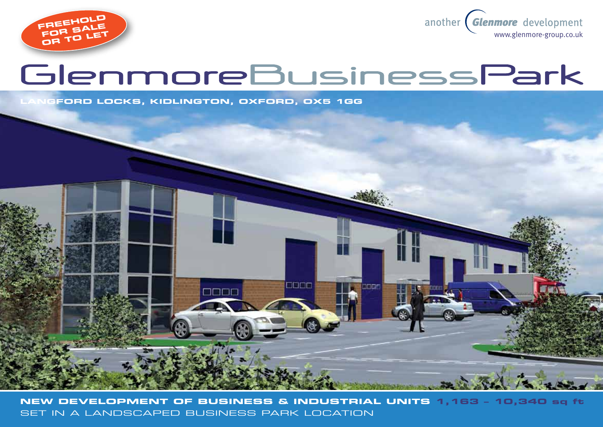



# GlenmoreBusinessPark

**Langford Locks, kidlington, oxford, OX5 1GG**



**New development of business & industrial units 1,163 – 10,340 sq ft**  set in a landscaped business park location